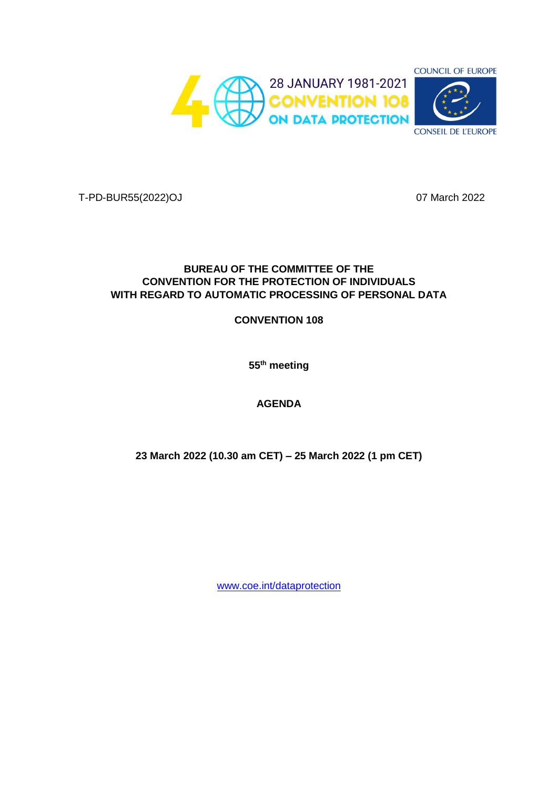

T-PD-BUR55(2022)OJ 07 March 2022

### **BUREAU OF THE COMMITTEE OF THE CONVENTION FOR THE PROTECTION OF INDIVIDUALS WITH REGARD TO AUTOMATIC PROCESSING OF PERSONAL DATA**

#### **CONVENTION 108**

**55th meeting** 

### **AGENDA**

**23 March 2022 (10.30 am CET) – 25 March 2022 (1 pm CET)**

[www.coe.int/dataprotection](http://www.coe.int/dataprotection)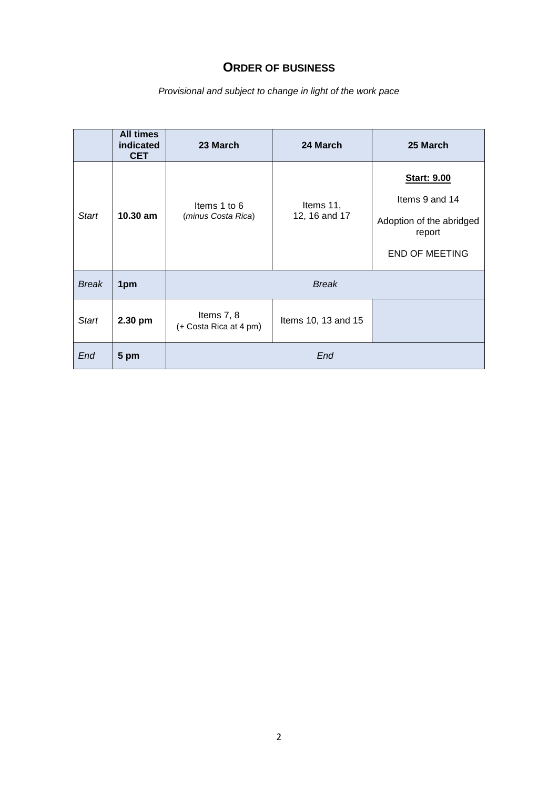## **ORDER OF BUSINESS**

*Provisional and subject to change in light of the work pace*

|              | <b>All times</b><br>indicated<br><b>CET</b> | 23 March                             | 24 March                   | 25 March                                                                                            |
|--------------|---------------------------------------------|--------------------------------------|----------------------------|-----------------------------------------------------------------------------------------------------|
| <b>Start</b> | 10.30 am                                    | Items 1 to 6<br>(minus Costa Rica)   | Items 11,<br>12, 16 and 17 | <b>Start: 9.00</b><br>Items 9 and 14<br>Adoption of the abridged<br>report<br><b>END OF MEETING</b> |
| <b>Break</b> | 1pm                                         |                                      | <b>Break</b>               |                                                                                                     |
| <b>Start</b> | 2.30 pm                                     | Items 7, 8<br>(+ Costa Rica at 4 pm) | Items 10, 13 and 15        |                                                                                                     |
| End          | 5 pm                                        |                                      | End                        |                                                                                                     |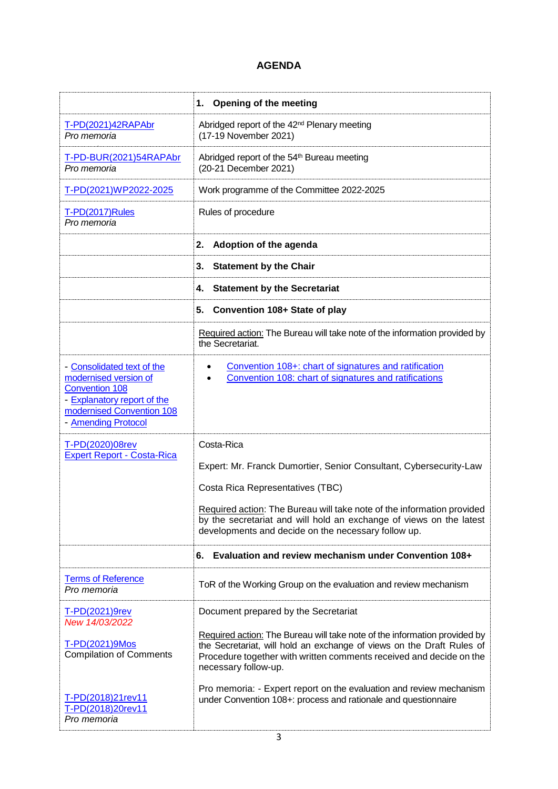# **AGENDA**

|                                                                                                                                                                 | <b>Opening of the meeting</b><br>1.                                                                                                                                                                                                                                                                                          |
|-----------------------------------------------------------------------------------------------------------------------------------------------------------------|------------------------------------------------------------------------------------------------------------------------------------------------------------------------------------------------------------------------------------------------------------------------------------------------------------------------------|
| T-PD(2021)42RAPAbr<br>Pro memoria                                                                                                                               | Abridged report of the 42 <sup>nd</sup> Plenary meeting<br>(17-19 November 2021)                                                                                                                                                                                                                                             |
| T-PD-BUR(2021)54RAPAbr<br>Pro memoria                                                                                                                           | Abridged report of the 54 <sup>th</sup> Bureau meeting<br>(20-21 December 2021)                                                                                                                                                                                                                                              |
| T-PD(2021)WP2022-2025                                                                                                                                           | Work programme of the Committee 2022-2025                                                                                                                                                                                                                                                                                    |
| <b>T-PD(2017)Rules</b><br>Pro memoria                                                                                                                           | Rules of procedure                                                                                                                                                                                                                                                                                                           |
|                                                                                                                                                                 | Adoption of the agenda<br>2.                                                                                                                                                                                                                                                                                                 |
|                                                                                                                                                                 | <b>Statement by the Chair</b><br>3.                                                                                                                                                                                                                                                                                          |
|                                                                                                                                                                 | <b>Statement by the Secretariat</b><br>4.                                                                                                                                                                                                                                                                                    |
|                                                                                                                                                                 | 5.<br>Convention 108+ State of play                                                                                                                                                                                                                                                                                          |
|                                                                                                                                                                 | Required action: The Bureau will take note of the information provided by<br>the Secretariat.                                                                                                                                                                                                                                |
| - Consolidated text of the<br>modernised version of<br><b>Convention 108</b><br>- Explanatory report of the<br>modernised Convention 108<br>- Amending Protocol | Convention 108+: chart of signatures and ratification<br>Convention 108: chart of signatures and ratifications                                                                                                                                                                                                               |
| T-PD(2020)08rev<br><b>Expert Report - Costa-Rica</b>                                                                                                            | Costa-Rica<br>Expert: Mr. Franck Dumortier, Senior Consultant, Cybersecurity-Law<br>Costa Rica Representatives (TBC)<br>Required action: The Bureau will take note of the information provided<br>by the secretariat and will hold an exchange of views on the latest<br>developments and decide on the necessary follow up. |
|                                                                                                                                                                 | Evaluation and review mechanism under Convention 108+<br>6.                                                                                                                                                                                                                                                                  |
| <b>Terms of Reference</b><br>Pro memoria                                                                                                                        | ToR of the Working Group on the evaluation and review mechanism                                                                                                                                                                                                                                                              |
| T-PD(2021)9rev<br>New 14/03/2022                                                                                                                                | Document prepared by the Secretariat                                                                                                                                                                                                                                                                                         |
| T-PD(2021)9Mos<br><b>Compilation of Comments</b>                                                                                                                | Required action: The Bureau will take note of the information provided by<br>the Secretariat, will hold an exchange of views on the Draft Rules of<br>Procedure together with written comments received and decide on the<br>necessary follow-up.                                                                            |
| T-PD(2018)21rev11<br>T-PD(2018)20rev11<br>Pro memoria                                                                                                           | Pro memoria: - Expert report on the evaluation and review mechanism<br>under Convention 108+: process and rationale and questionnaire                                                                                                                                                                                        |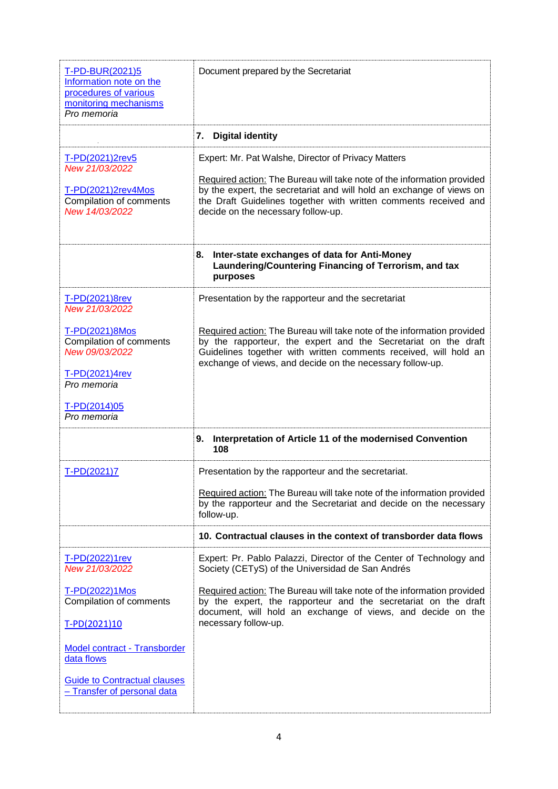| T-PD-BUR(2021)5<br>Information note on the<br>procedures of various<br>monitoring mechanisms<br>Pro memoria                                                     | Document prepared by the Secretariat                                                                                                                                                                                                                                                                                            |
|-----------------------------------------------------------------------------------------------------------------------------------------------------------------|---------------------------------------------------------------------------------------------------------------------------------------------------------------------------------------------------------------------------------------------------------------------------------------------------------------------------------|
|                                                                                                                                                                 | <b>Digital identity</b><br>7.                                                                                                                                                                                                                                                                                                   |
| T-PD(2021)2rev5<br>New 21/03/2022<br>$T-PD(2021)2rev4Mos$<br>Compilation of comments<br>New 14/03/2022                                                          | Expert: Mr. Pat Walshe, Director of Privacy Matters<br>Required action: The Bureau will take note of the information provided<br>by the expert, the secretariat and will hold an exchange of views on<br>the Draft Guidelines together with written comments received and<br>decide on the necessary follow-up.                 |
|                                                                                                                                                                 | Inter-state exchanges of data for Anti-Money<br>8.<br>Laundering/Countering Financing of Terrorism, and tax<br>purposes                                                                                                                                                                                                         |
| T-PD(2021)8rev<br>New 21/03/2022<br>T-PD(2021)8Mos<br>Compilation of comments<br>New 09/03/2022<br>T-PD(2021)4rev<br>Pro memoria<br>T-PD(2014)05<br>Pro memoria | Presentation by the rapporteur and the secretariat<br>Required action: The Bureau will take note of the information provided<br>by the rapporteur, the expert and the Secretariat on the draft<br>Guidelines together with written comments received, will hold an<br>exchange of views, and decide on the necessary follow-up. |
|                                                                                                                                                                 | Interpretation of Article 11 of the modernised Convention<br>9.<br>108                                                                                                                                                                                                                                                          |
| T-PD(2021)7                                                                                                                                                     | Presentation by the rapporteur and the secretariat.<br>Required action: The Bureau will take note of the information provided<br>by the rapporteur and the Secretariat and decide on the necessary<br>follow-up.<br>10. Contractual clauses in the context of transborder data flows                                            |
| T-PD(2022)1rev                                                                                                                                                  | Expert: Pr. Pablo Palazzi, Director of the Center of Technology and                                                                                                                                                                                                                                                             |
| New 21/03/2022                                                                                                                                                  | Society (CETyS) of the Universidad de San Andrés                                                                                                                                                                                                                                                                                |
| T-PD(2022)1Mos<br>Compilation of comments<br>T-PD(2021)10                                                                                                       | Required action: The Bureau will take note of the information provided<br>by the expert, the rapporteur and the secretariat on the draft<br>document, will hold an exchange of views, and decide on the<br>necessary follow-up.                                                                                                 |
| Model contract - Transborder<br>data flows                                                                                                                      |                                                                                                                                                                                                                                                                                                                                 |
| <b>Guide to Contractual clauses</b><br>- Transfer of personal data                                                                                              |                                                                                                                                                                                                                                                                                                                                 |